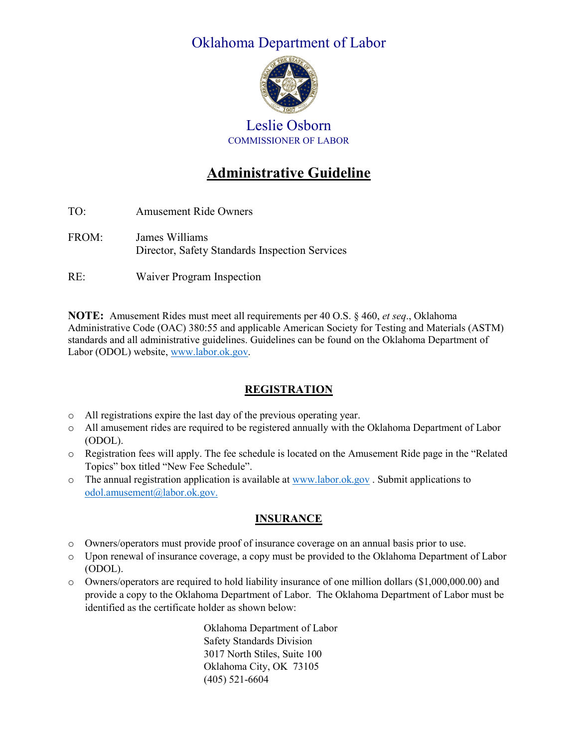## Oklahoma Department of Labor



Leslie Osborn COMMISSIONER OF LABOR

# **Administrative Guideline**

TO: Amusement Ride Owners FROM: James Williams Director, Safety Standards Inspection Services

RE: Waiver Program Inspection

**NOTE:** Amusement Rides must meet all requirements per 40 O.S. § 460, *et seq*., Oklahoma Administrative Code (OAC) 380:55 and applicable American Society for Testing and Materials (ASTM) standards and all administrative guidelines. Guidelines can be found on the Oklahoma Department of Labor (ODOL) website[, www.labor.ok.gov.](http://www.labor.ok.gov/)

#### **REGISTRATION**

- o All registrations expire the last day of the previous operating year.
- o All amusement rides are required to be registered annually with the Oklahoma Department of Labor (ODOL).
- o Registration fees will apply. The fee schedule is located on the Amusement Ride page in the "Related Topics" box titled "New Fee Schedule".
- $\circ$  The annual registration application is available a[t www.labor.ok.gov](http://www.labor.ok.gov/). Submit applications to [odol.amusement@labor.ok.gov.](mailto:odol.amusement@labor.ok.gov)

#### **INSURANCE**

- o Owners/operators must provide proof of insurance coverage on an annual basis prior to use.
- o Upon renewal of insurance coverage, a copy must be provided to the Oklahoma Department of Labor (ODOL).
- o Owners/operators are required to hold liability insurance of one million dollars (\$1,000,000.00) and provide a copy to the Oklahoma Department of Labor. The Oklahoma Department of Labor must be identified as the certificate holder as shown below:

Oklahoma Department of Labor Safety Standards Division 3017 North Stiles, Suite 100 Oklahoma City, OK 73105 (405) 521-6604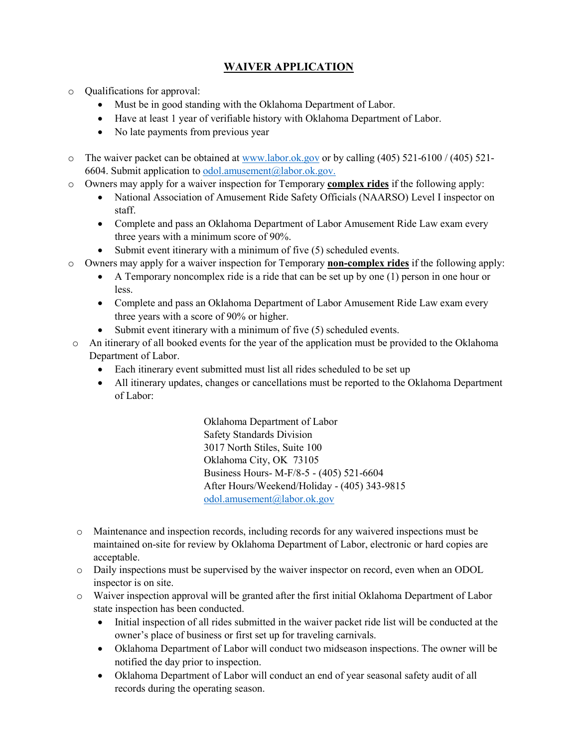### **WAIVER APPLICATION**

- o Qualifications for approval:
	- Must be in good standing with the Oklahoma Department of Labor.
	- Have at least 1 year of verifiable history with Oklahoma Department of Labor.
	- No late payments from previous year
- o The waiver packet can be obtained at [www.labor.ok.gov](http://www.labor.ok.gov/) or by calling (405) 521-6100 / (405) 521 6604. Submit application to [odol.amusement@labor.ok.gov.](mailto:odol.amusement@labor.ok.gov)
- o Owners may apply for a waiver inspection for Temporary **complex rides** if the following apply:
	- National Association of Amusement Ride Safety Officials (NAARSO) Level I inspector on staff.
	- Complete and pass an Oklahoma Department of Labor Amusement Ride Law exam every three years with a minimum score of 90%.
	- Submit event itinerary with a minimum of five (5) scheduled events.
- o Owners may apply for a waiver inspection for Temporary **non-complex rides** if the following apply:
	- A Temporary noncomplex ride is a ride that can be set up by one (1) person in one hour or less.
	- Complete and pass an Oklahoma Department of Labor Amusement Ride Law exam every three years with a score of 90% or higher.
	- Submit event itinerary with a minimum of five (5) scheduled events.
- o An itinerary of all booked events for the year of the application must be provided to the Oklahoma Department of Labor.
	- Each itinerary event submitted must list all rides scheduled to be set up
	- All itinerary updates, changes or cancellations must be reported to the Oklahoma Department of Labor:

Oklahoma Department of Labor Safety Standards Division 3017 North Stiles, Suite 100 Oklahoma City, OK 73105 Business Hours- M-F/8-5 - (405) 521-6604 After Hours/Weekend/Holiday - (405) 343-9815 [odol.amusement@labor.ok.gov](mailto:odol.amusement@labor.ok.gov)

- o Maintenance and inspection records, including records for any waivered inspections must be maintained on-site for review by Oklahoma Department of Labor, electronic or hard copies are acceptable.
- o Daily inspections must be supervised by the waiver inspector on record, even when an ODOL inspector is on site.
- o Waiver inspection approval will be granted after the first initial Oklahoma Department of Labor state inspection has been conducted.
	- Initial inspection of all rides submitted in the waiver packet ride list will be conducted at the owner's place of business or first set up for traveling carnivals.
	- Oklahoma Department of Labor will conduct two midseason inspections. The owner will be notified the day prior to inspection.
	- Oklahoma Department of Labor will conduct an end of year seasonal safety audit of all records during the operating season.